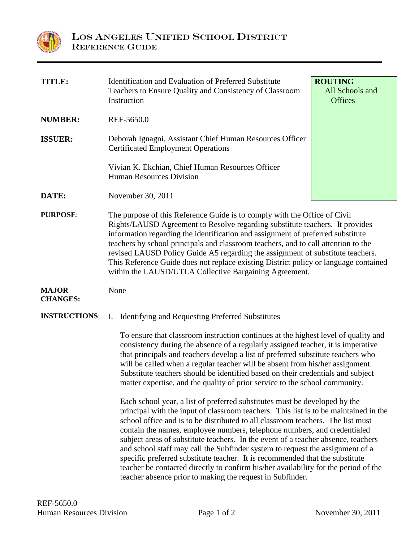

| <b>TITLE:</b>                   | Identification and Evaluation of Preferred Substitute<br>Teachers to Ensure Quality and Consistency of Classroom<br>Instruction                                                                                                                                                                                                                                                                                                                                                                                                                                                                                                                                                                                                             | <b>ROUTING</b><br>All Schools and<br><b>Offices</b> |
|---------------------------------|---------------------------------------------------------------------------------------------------------------------------------------------------------------------------------------------------------------------------------------------------------------------------------------------------------------------------------------------------------------------------------------------------------------------------------------------------------------------------------------------------------------------------------------------------------------------------------------------------------------------------------------------------------------------------------------------------------------------------------------------|-----------------------------------------------------|
| <b>NUMBER:</b>                  | REF-5650.0                                                                                                                                                                                                                                                                                                                                                                                                                                                                                                                                                                                                                                                                                                                                  |                                                     |
| <b>ISSUER:</b>                  | Deborah Ignagni, Assistant Chief Human Resources Officer<br><b>Certificated Employment Operations</b>                                                                                                                                                                                                                                                                                                                                                                                                                                                                                                                                                                                                                                       |                                                     |
|                                 | Vivian K. Ekchian, Chief Human Resources Officer<br><b>Human Resources Division</b>                                                                                                                                                                                                                                                                                                                                                                                                                                                                                                                                                                                                                                                         |                                                     |
| DATE:                           | November 30, 2011                                                                                                                                                                                                                                                                                                                                                                                                                                                                                                                                                                                                                                                                                                                           |                                                     |
| <b>PURPOSE:</b>                 | The purpose of this Reference Guide is to comply with the Office of Civil<br>Rights/LAUSD Agreement to Resolve regarding substitute teachers. It provides<br>information regarding the identification and assignment of preferred substitute<br>teachers by school principals and classroom teachers, and to call attention to the<br>revised LAUSD Policy Guide A5 regarding the assignment of substitute teachers.<br>This Reference Guide does not replace existing District policy or language contained<br>within the LAUSD/UTLA Collective Bargaining Agreement.                                                                                                                                                                      |                                                     |
| <b>MAJOR</b><br><b>CHANGES:</b> | None                                                                                                                                                                                                                                                                                                                                                                                                                                                                                                                                                                                                                                                                                                                                        |                                                     |
| <b>INSTRUCTIONS:</b>            | <b>Identifying and Requesting Preferred Substitutes</b><br>Ι.                                                                                                                                                                                                                                                                                                                                                                                                                                                                                                                                                                                                                                                                               |                                                     |
|                                 | To ensure that classroom instruction continues at the highest level of quality and<br>consistency during the absence of a regularly assigned teacher, it is imperative<br>that principals and teachers develop a list of preferred substitute teachers who<br>will be called when a regular teacher will be absent from his/her assignment.<br>Substitute teachers should be identified based on their credentials and subject<br>matter expertise, and the quality of prior service to the school community.                                                                                                                                                                                                                               |                                                     |
|                                 | Each school year, a list of preferred substitutes must be developed by the<br>principal with the input of classroom teachers. This list is to be maintained in the<br>school office and is to be distributed to all classroom teachers. The list must<br>contain the names, employee numbers, telephone numbers, and credentialed<br>subject areas of substitute teachers. In the event of a teacher absence, teachers<br>and school staff may call the Subfinder system to request the assignment of a<br>specific preferred substitute teacher. It is recommended that the substitute<br>teacher be contacted directly to confirm his/her availability for the period of the<br>teacher absence prior to making the request in Subfinder. |                                                     |